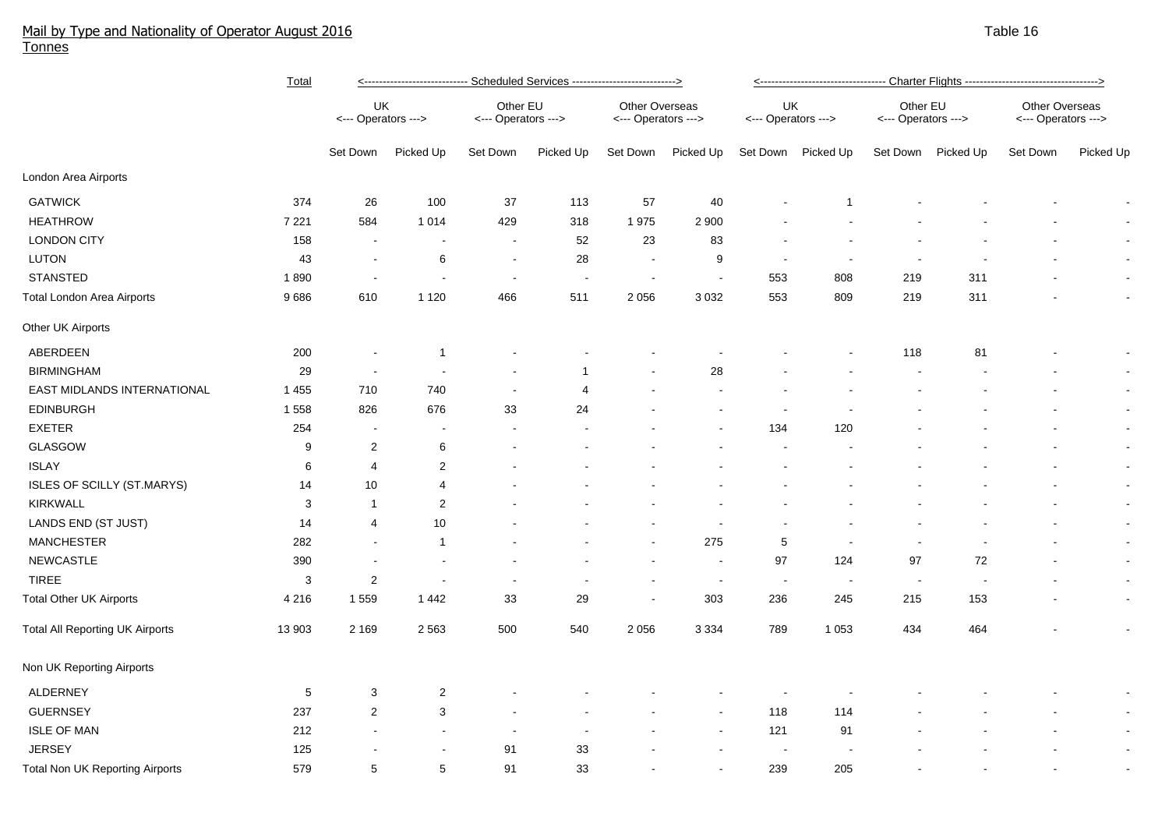## Mail by Type and Nationality of Operator August 2016 Table 16 August 2016 Table 16 August 2016 Table 16 August 2016 Tonnes

|                                        | <b>Total</b> | <u>&lt;---------------------------- Scheduled Services ----------------------------&gt;</u> |                          |                                 |                |                                       |                |                           |                          |                                 |                          |                                       |                          |
|----------------------------------------|--------------|---------------------------------------------------------------------------------------------|--------------------------|---------------------------------|----------------|---------------------------------------|----------------|---------------------------|--------------------------|---------------------------------|--------------------------|---------------------------------------|--------------------------|
|                                        |              | UK<br><--- Operators --->                                                                   |                          | Other EU<br><--- Operators ---> |                | Other Overseas<br><--- Operators ---> |                | UK<br><--- Operators ---> |                          | Other EU<br><--- Operators ---> |                          | Other Overseas<br><--- Operators ---> |                          |
|                                        |              | Set Down                                                                                    | Picked Up                | Set Down                        | Picked Up      | Set Down                              | Picked Up      | Set Down                  | Picked Up                |                                 | Set Down Picked Up       | Set Down                              | Picked Up                |
| London Area Airports                   |              |                                                                                             |                          |                                 |                |                                       |                |                           |                          |                                 |                          |                                       |                          |
| <b>GATWICK</b>                         | 374          | 26                                                                                          | 100                      | 37                              | 113            | 57                                    | 40             |                           |                          |                                 |                          |                                       |                          |
| <b>HEATHROW</b>                        | 7 2 2 1      | 584                                                                                         | 1 0 1 4                  | 429                             | 318            | 1975                                  | 2 9 0 0        |                           |                          |                                 |                          |                                       |                          |
| <b>LONDON CITY</b>                     | 158          | $\blacksquare$                                                                              | $\sim$                   | $\sim$                          | 52             | 23                                    | 83             |                           |                          |                                 |                          |                                       |                          |
| LUTON                                  | 43           | $\overline{\phantom{a}}$                                                                    | 6                        | $\sim$                          | 28             | $\sim$                                | 9              | $\blacksquare$            |                          |                                 |                          |                                       |                          |
| <b>STANSTED</b>                        | 1890         | $\overline{\phantom{a}}$                                                                    | $\blacksquare$           | $\sim$                          | $\sim$         | $\sim$                                | $\blacksquare$ | 553                       | 808                      | 219                             | 311                      |                                       | $\overline{\phantom{a}}$ |
| <b>Total London Area Airports</b>      | 9686         | 610                                                                                         | 1 1 2 0                  | 466                             | 511            | 2 0 5 6                               | 3 0 3 2        | 553                       | 809                      | 219                             | 311                      |                                       | $\blacksquare$           |
| Other UK Airports                      |              |                                                                                             |                          |                                 |                |                                       |                |                           |                          |                                 |                          |                                       |                          |
| ABERDEEN                               | 200          |                                                                                             | $\overline{1}$           |                                 |                |                                       |                |                           |                          | 118                             | 81                       |                                       | $\blacksquare$           |
| <b>BIRMINGHAM</b>                      | 29           | $\overline{\phantom{a}}$                                                                    | $\overline{\phantom{a}}$ |                                 | 1              |                                       | 28             |                           |                          |                                 |                          |                                       | $\overline{\phantom{a}}$ |
| EAST MIDLANDS INTERNATIONAL            | 1 4 5 5      | 710                                                                                         | 740                      | $\sim$                          | $\overline{4}$ |                                       | $\blacksquare$ |                           |                          |                                 |                          |                                       | $\overline{\phantom{a}}$ |
| <b>EDINBURGH</b>                       | 1 5 5 8      | 826                                                                                         | 676                      | 33                              | 24             |                                       |                |                           |                          |                                 |                          |                                       | $\blacksquare$           |
| <b>EXETER</b>                          | 254          |                                                                                             |                          |                                 |                |                                       |                | 134                       | 120                      |                                 |                          |                                       | $\blacksquare$           |
| GLASGOW                                | 9            | $\overline{2}$                                                                              | 6                        |                                 |                |                                       |                |                           |                          |                                 |                          |                                       | $\blacksquare$           |
| <b>ISLAY</b>                           | 6            | 4                                                                                           | $\overline{a}$           |                                 |                |                                       |                |                           |                          |                                 |                          |                                       | $\blacksquare$           |
| ISLES OF SCILLY (ST.MARYS)             | 14           | 10                                                                                          | 4                        |                                 |                |                                       |                |                           |                          |                                 |                          |                                       | $\blacksquare$           |
| <b>KIRKWALL</b>                        | 3            | -1                                                                                          | 2                        |                                 |                |                                       |                |                           |                          |                                 |                          |                                       | $\blacksquare$           |
| LANDS END (ST JUST)                    | 14           | 4                                                                                           | 10                       |                                 |                |                                       |                |                           |                          |                                 |                          |                                       | $\blacksquare$           |
| <b>MANCHESTER</b>                      | 282          | $\blacksquare$                                                                              | $\overline{1}$           |                                 |                | $\overline{\phantom{a}}$              | 275            | 5                         | $\blacksquare$           | $\blacksquare$                  | $\blacksquare$           | $\blacksquare$                        | $\blacksquare$           |
| <b>NEWCASTLE</b>                       | 390          | $\overline{a}$                                                                              | $\blacksquare$           |                                 |                | $\sim$                                | $\sim$         | 97                        | 124                      | 97                              | 72                       |                                       | $\blacksquare$           |
| <b>TIREE</b>                           | 3            | $\overline{c}$                                                                              | $\blacksquare$           |                                 | $\blacksquare$ | $\sim$                                | $\sim$         | $\sim$                    | $\overline{\phantom{a}}$ | $\sim$                          | $\overline{\phantom{a}}$ |                                       | $\blacksquare$           |
| <b>Total Other UK Airports</b>         | 4 2 1 6      | 1559                                                                                        | 1 4 4 2                  | 33                              | 29             | $\sim$                                | 303            | 236                       | 245                      | 215                             | 153                      |                                       | $\blacksquare$           |
| <b>Total All Reporting UK Airports</b> | 13 903       | 2 1 6 9                                                                                     | 2 5 6 3                  | 500                             | 540            | 2 0 5 6                               | 3 3 3 4        | 789                       | 1 0 5 3                  | 434                             | 464                      |                                       | $\sim$                   |
| Non UK Reporting Airports              |              |                                                                                             |                          |                                 |                |                                       |                |                           |                          |                                 |                          |                                       |                          |
| ALDERNEY                               | 5            | 3                                                                                           | $\overline{2}$           |                                 |                |                                       |                |                           |                          |                                 |                          |                                       | $\sim$                   |
| <b>GUERNSEY</b>                        | 237          | $\overline{2}$                                                                              | 3                        |                                 |                |                                       | $\sim$         | 118                       | 114                      |                                 |                          |                                       | $\blacksquare$           |
| <b>ISLE OF MAN</b>                     | 212          |                                                                                             |                          |                                 | $\overline{a}$ |                                       | $\sim$         | 121                       | 91                       |                                 |                          |                                       | $\blacksquare$           |
| <b>JERSEY</b>                          | 125          |                                                                                             |                          | 91                              | 33             |                                       |                | $\overline{\phantom{a}}$  |                          |                                 |                          |                                       | $\blacksquare$           |
| <b>Total Non UK Reporting Airports</b> | 579          | 5                                                                                           | 5                        | 91                              | 33             |                                       |                | 239                       | 205                      |                                 |                          |                                       | $\overline{\phantom{a}}$ |